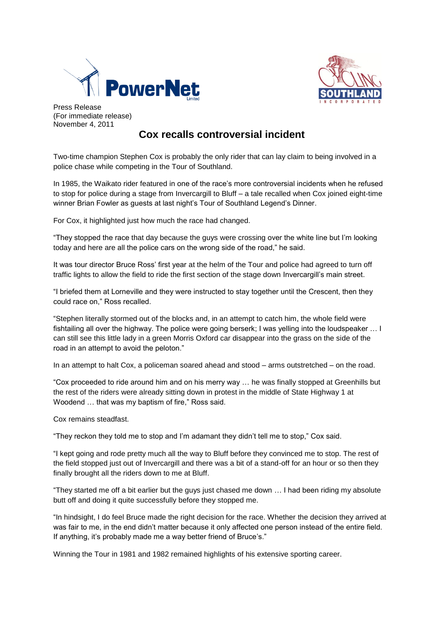



Press Release (For immediate release) November 4, 2011

## **Cox recalls controversial incident**

Two-time champion Stephen Cox is probably the only rider that can lay claim to being involved in a police chase while competing in the Tour of Southland.

In 1985, the Waikato rider featured in one of the race's more controversial incidents when he refused to stop for police during a stage from Invercargill to Bluff – a tale recalled when Cox joined eight-time winner Brian Fowler as guests at last night's Tour of Southland Legend's Dinner.

For Cox, it highlighted just how much the race had changed.

"They stopped the race that day because the guys were crossing over the white line but I'm looking today and here are all the police cars on the wrong side of the road," he said.

It was tour director Bruce Ross' first year at the helm of the Tour and police had agreed to turn off traffic lights to allow the field to ride the first section of the stage down Invercargill's main street.

"I briefed them at Lorneville and they were instructed to stay together until the Crescent, then they could race on," Ross recalled.

"Stephen literally stormed out of the blocks and, in an attempt to catch him, the whole field were fishtailing all over the highway. The police were going berserk; I was yelling into the loudspeaker … I can still see this little lady in a green Morris Oxford car disappear into the grass on the side of the road in an attempt to avoid the peloton."

In an attempt to halt Cox, a policeman soared ahead and stood – arms outstretched – on the road.

"Cox proceeded to ride around him and on his merry way … he was finally stopped at Greenhills but the rest of the riders were already sitting down in protest in the middle of State Highway 1 at Woodend … that was my baptism of fire," Ross said.

Cox remains steadfast.

"They reckon they told me to stop and I'm adamant they didn't tell me to stop," Cox said.

"I kept going and rode pretty much all the way to Bluff before they convinced me to stop. The rest of the field stopped just out of Invercargill and there was a bit of a stand-off for an hour or so then they finally brought all the riders down to me at Bluff.

"They started me off a bit earlier but the guys just chased me down … I had been riding my absolute butt off and doing it quite successfully before they stopped me.

"In hindsight, I do feel Bruce made the right decision for the race. Whether the decision they arrived at was fair to me, in the end didn't matter because it only affected one person instead of the entire field. If anything, it's probably made me a way better friend of Bruce's."

Winning the Tour in 1981 and 1982 remained highlights of his extensive sporting career.